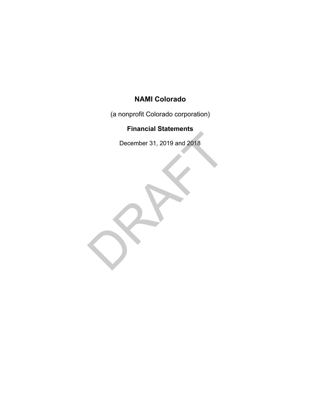(a nonprofit Colorado corporation)

## **Financial Statements**

December 31, 2019 and 2018

December 31, 2019 and 2018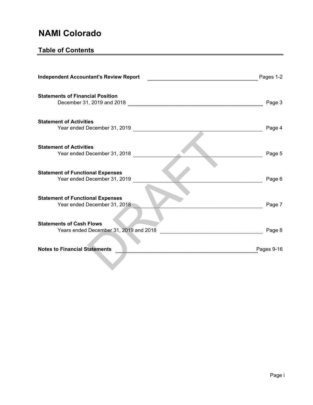## **Table of Contents**

| <b>Independent Accountant's Review Report</b>                             | Pages 1-2  |
|---------------------------------------------------------------------------|------------|
| <b>Statements of Financial Position</b><br>December 31, 2019 and 2018     | Page 3     |
| <b>Statement of Activities</b><br>Year ended December 31, 2019            | Page 4     |
| <b>Statement of Activities</b><br>Year ended December 31, 2018            | Page 5     |
| <b>Statement of Functional Expenses</b><br>Year ended December 31, 2019   | Page 6     |
| <b>Statement of Functional Expenses</b><br>Year ended December 31, 2018   | Page 7     |
| <b>Statements of Cash Flows</b><br>Years ended December 31, 2019 and 2018 | Page 8     |
| <b>Notes to Financial Statements</b>                                      | Pages 9-16 |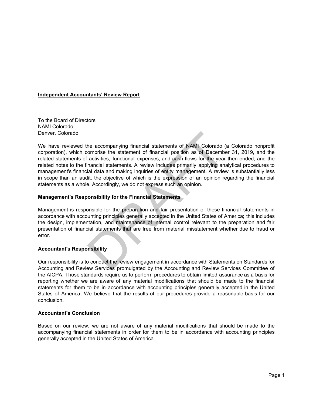#### **Independent Accountants' Review Report**

To the Board of Directors NAMI Colorado Denver, Colorado

the accompanying financial statements of NAMI Colorado (omprise the statement of financial position as of December activities, functional expenses, and cash flows for the year nancial statements. A review includes primaril We have reviewed the accompanying financial statements of NAMI Colorado (a Colorado nonprofit corporation), which comprise the statement of financial position as of December 31, 2019, and the related statements of activities, functional expenses, and cash flows for the year then ended, and the related notes to the financial statements. A review includes primarily applying analytical procedures to management's financial data and making inquiries of entity management. A review is substantially less in scope than an audit, the objective of which is the expression of an opinion regarding the financial statements as a whole. Accordingly, we do not express such an opinion.

### **Management's Responsibility for the Financial Statements**

Management is responsible for the preparation and fair presentation of these financial statements in accordance with accounting principles generally accepted in the United States of America; this includes the design, implementation, and maintenance of internal control relevant to the preparation and fair presentation of financial statements that are free from material misstatement whether due to fraud or error.

### **Accountant's Responsibility**

Our responsibility is to conduct the review engagement in accordance with Statements on Standards for Accounting and Review Services promulgated by the Accounting and Review Services Committee of the AICPA. Those standards require us to perform procedures to obtain limited assurance as a basis for reporting whether we are aware of any material modifications that should be made to the financial statements for them to be in accordance with accounting principles generally accepted in the United States of America. We believe that the results of our procedures provide a reasonable basis for our conclusion.

### **Accountant's Conclusion**

Based on our review, we are not aware of any material modifications that should be made to the accompanying financial statements in order for them to be in accordance with accounting principles generally accepted in the United States of America.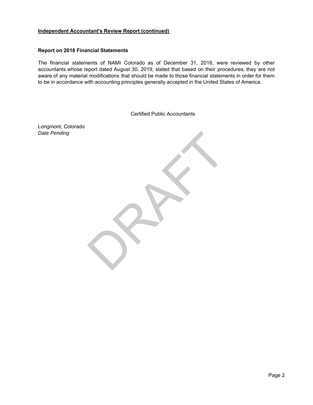### **Independent Accountant's Review Report (continued)**

#### **Report on 2018 Financial Statements**

The financial statements of NAMI Colorado as of December 31, 2018, were reviewed by other accountants whose report dated August 30, 2019, stated that based on their procedures, they are not aware of any material modifications that should be made to those financial statements in order for them to be in accordance with accounting principles generally accepted in the United States of America.

Certified Public Accountants

RAFT

Longmont, Colorado *Date Pending*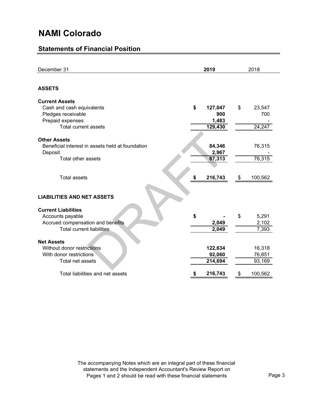## **Statements of Financial Position**

| December 31                                      | 2019          | 2018          |  |  |
|--------------------------------------------------|---------------|---------------|--|--|
| <b>ASSETS</b>                                    |               |               |  |  |
| <b>Current Assets</b>                            |               |               |  |  |
| Cash and cash equivalents                        | \$<br>127,047 | \$<br>23,547  |  |  |
| Pledges receivable                               | 900           | 700           |  |  |
| Prepaid expenses                                 | 1,483         |               |  |  |
| <b>Total current assets</b>                      | 129,430       | 24,247        |  |  |
| <b>Other Assets</b>                              |               |               |  |  |
| Beneficial interest in assets held at foundation | 84,346        | 76,315        |  |  |
| Deposit                                          | 2,967         |               |  |  |
| Total other assets                               | 87,313        | 76,315        |  |  |
|                                                  |               |               |  |  |
| <b>Total assets</b>                              | 216,743<br>\$ | 100,562<br>\$ |  |  |
| <b>LIABILITIES AND NET ASSETS</b>                |               |               |  |  |
| <b>Current Liabilities</b>                       |               |               |  |  |
| Accounts payable                                 | \$            | 5,291<br>\$   |  |  |
| Accrued compensation and benefits                | 2,049         | 2,102         |  |  |
| <b>Total current liabilities</b>                 | 2,049         | 7,393         |  |  |
| <b>Net Assets</b>                                |               |               |  |  |
| Without donor restrictions                       | 122,634       | 16,318        |  |  |
| With donor restrictions                          | 92,060        | 76,851        |  |  |
| Total net assets                                 | 214,694       | 93,169        |  |  |
|                                                  |               |               |  |  |
| Total liabilities and net assets                 | 216,743<br>\$ | 100,562<br>\$ |  |  |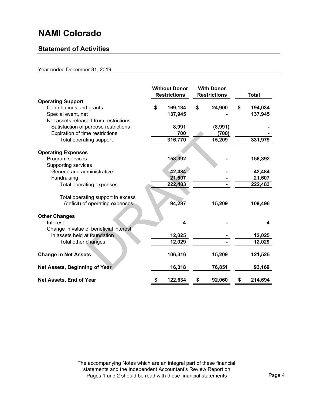## **Statement of Activities**

### Year ended December 31, 2019

|                                                      | <b>Without Donor</b><br><b>Restrictions</b> |         |    | <b>With Donor</b><br><b>Restrictions</b> | <b>Total</b> |         |  |
|------------------------------------------------------|---------------------------------------------|---------|----|------------------------------------------|--------------|---------|--|
| <b>Operating Support</b><br>Contributions and grants | \$                                          | 169,134 | \$ | 24,900                                   | \$           | 194,034 |  |
| Special event, net                                   |                                             | 137,945 |    |                                          |              | 137,945 |  |
| Net assets released from restrictions                |                                             |         |    |                                          |              |         |  |
|                                                      |                                             | 8,991   |    | (8,991)                                  |              |         |  |
| Satisfaction of purpose restrictions                 |                                             |         |    |                                          |              |         |  |
| Expiration of time restrictions                      |                                             | 700     |    | (700)                                    |              |         |  |
| Total operating support                              |                                             | 316,770 |    | 15,209                                   |              | 331,979 |  |
|                                                      |                                             |         |    |                                          |              |         |  |
| <b>Operating Expenses</b>                            |                                             |         |    |                                          |              |         |  |
| Program services                                     |                                             | 158,392 |    |                                          |              | 158,392 |  |
| Supporting services                                  |                                             |         |    |                                          |              |         |  |
| General and administrative                           |                                             | 42,484  |    |                                          |              | 42,484  |  |
| Fundraising                                          |                                             | 21,607  |    |                                          |              | 21,607  |  |
| Total operating expenses                             |                                             | 222,483 |    |                                          |              | 222,483 |  |
|                                                      |                                             |         |    |                                          |              |         |  |
| Total operating support in excess                    |                                             |         |    |                                          |              |         |  |
| (deficit) of operating expenses                      |                                             | 94,287  |    | 15,209                                   |              | 109,496 |  |
|                                                      |                                             |         |    |                                          |              |         |  |
| <b>Other Changes</b>                                 |                                             |         |    |                                          |              |         |  |
| Interest                                             |                                             | 4       |    |                                          |              | 4       |  |
| Change in value of beneficial interest               |                                             |         |    |                                          |              |         |  |
| in assets held at foundation                         |                                             | 12,025  |    |                                          |              | 12,025  |  |
| Total other changes                                  |                                             | 12,029  |    |                                          |              | 12,029  |  |
|                                                      |                                             |         |    |                                          |              |         |  |
| <b>Change in Net Assets</b>                          |                                             | 106,316 |    | 15,209                                   |              | 121,525 |  |
|                                                      |                                             |         |    |                                          |              |         |  |
| Net Assets, Beginning of Year                        |                                             | 16,318  |    | 76,851                                   |              | 93,169  |  |
| Net Assets, End of Year                              | \$                                          | 122,634 | \$ | 92,060                                   | \$           | 214,694 |  |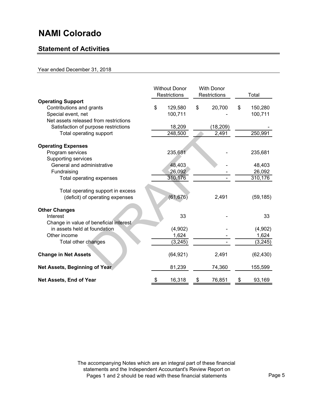## **Statement of Activities**

### Year ended December 31, 2018

|                                                                                                          | <b>Without Donor</b><br>Restrictions | <b>With Donor</b><br>Restrictions | Total                    |
|----------------------------------------------------------------------------------------------------------|--------------------------------------|-----------------------------------|--------------------------|
| <b>Operating Support</b><br>Contributions and grants<br>Special event, net                               | \$<br>129,580<br>100,711             | \$<br>20,700                      | \$<br>150,280<br>100,711 |
| Net assets released from restrictions<br>Satisfaction of purpose restrictions<br>Total operating support | 18,209<br>248,500                    | (18, 209)<br>2,491                | 250,991                  |
| <b>Operating Expenses</b>                                                                                |                                      |                                   |                          |
| Program services                                                                                         | 235,681                              |                                   | 235,681                  |
| Supporting services<br>General and administrative                                                        | 48,403                               |                                   | 48,403                   |
| Fundraising                                                                                              | 26,092                               |                                   | 26,092                   |
| Total operating expenses                                                                                 | 310,176                              |                                   | 310,176                  |
| Total operating support in excess                                                                        |                                      |                                   |                          |
| (deficit) of operating expenses                                                                          | (61, 676)                            | 2,491                             | (59, 185)                |
| <b>Other Changes</b>                                                                                     |                                      |                                   |                          |
| Interest                                                                                                 | 33                                   |                                   | 33                       |
| Change in value of beneficial interest                                                                   |                                      |                                   |                          |
| in assets held at foundation                                                                             | (4,902)                              |                                   | (4,902)                  |
| Other income<br>Total other changes                                                                      | 1,624<br>(3, 245)                    |                                   | 1,624<br>(3, 245)        |
|                                                                                                          |                                      |                                   |                          |
| <b>Change in Net Assets</b>                                                                              | (64, 921)                            | 2,491                             | (62, 430)                |
| Net Assets, Beginning of Year                                                                            | 81,239                               | 74,360                            | 155,599                  |
| Net Assets, End of Year                                                                                  | \$<br>16,318                         | \$<br>76,851                      | \$<br>93,169             |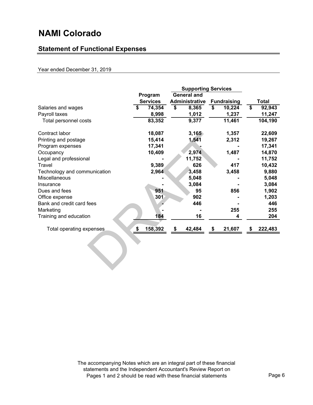## **Statement of Functional Expenses**

### Year ended December 31, 2019

|                              |                               |                 | <b>Supporting Services</b> |        |                    |        |    |              |
|------------------------------|-------------------------------|-----------------|----------------------------|--------|--------------------|--------|----|--------------|
|                              | <b>General and</b><br>Program |                 |                            |        |                    |        |    |              |
|                              |                               | <b>Services</b> | Administrative             |        | <b>Fundraising</b> |        |    | <b>Total</b> |
| Salaries and wages           | \$                            | 74,354          | \$                         | 8,365  | \$                 | 10,224 | \$ | 92,943       |
| Payroll taxes                |                               | 8,998           |                            | 1,012  |                    | 1,237  |    | 11,247       |
| Total personnel costs        |                               | 83,352          |                            | 9,377  |                    | 11,461 |    | 104,190      |
| Contract labor               |                               | 18,087          |                            | 3,165  |                    | 1,357  |    | 22,609       |
| Printing and postage         |                               | 15,414          |                            | 1,541  |                    | 2,312  |    | 19,267       |
| Program expenses             |                               | 17,341          |                            |        |                    |        |    | 17,341       |
| Occupancy                    |                               | 10,409          |                            | 2,974  |                    | 1,487  |    | 14,870       |
| Legal and professional       |                               |                 |                            | 11,752 |                    |        |    | 11,752       |
| Travel                       |                               | 9,389           |                            | 626    |                    | 417    |    | 10,432       |
| Technology and communication |                               | 2,964           |                            | 3,458  |                    | 3,458  |    | 9,880        |
| <b>Miscellaneous</b>         |                               |                 |                            | 5,048  |                    |        |    | 5,048        |
| Insurance                    |                               |                 |                            | 3,084  |                    |        |    | 3,084        |
| Dues and fees                |                               | 951             |                            | 95     |                    | 856    |    | 1,902        |
| Office expense               |                               | 301             |                            | 902    |                    |        |    | 1,203        |
| Bank and credit card fees    |                               |                 |                            | 446    |                    |        |    | 446          |
| Marketing                    |                               |                 |                            |        |                    | 255    |    | 255          |
| Training and education       |                               | 184             |                            | 16     |                    | 4      |    | 204          |
| Total operating expenses     | \$                            | 158,392         | \$                         | 42,484 | \$                 | 21,607 | \$ | 222,483      |
|                              |                               |                 |                            |        |                    |        |    |              |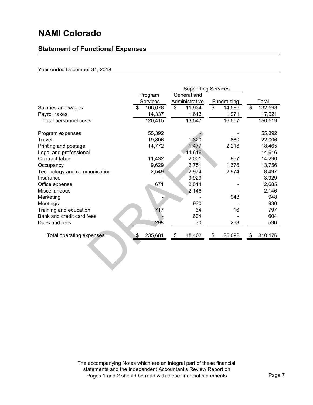## **Statement of Functional Expenses**

### Year ended December 31, 2018

|                              | <b>Supporting Services</b> |                 |    |                |    |             |    |         |
|------------------------------|----------------------------|-----------------|----|----------------|----|-------------|----|---------|
|                              | General and<br>Program     |                 |    |                |    |             |    |         |
|                              |                            | <b>Services</b> |    | Administrative |    | Fundraising |    | Total   |
| Salaries and wages           | \$                         | 106,078         | \$ | 11,934         | \$ | 14,586      | \$ | 132,598 |
| Payroll taxes                |                            | 14,337          |    | 1,613          |    | 1,971       |    | 17,921  |
| Total personnel costs        |                            | 120,415         |    | 13,547         |    | 16,557      |    | 150,519 |
| Program expenses             |                            | 55,392          |    |                |    |             |    | 55,392  |
| Travel                       |                            | 19,806          |    | 1,320          |    | 880         |    | 22,006  |
| Printing and postage         |                            | 14,772          |    | 1,477          |    | 2,216       |    | 18,465  |
| Legal and professional       |                            |                 |    | 14,616         |    |             |    | 14,616  |
| Contract labor               |                            | 11,432          |    | 2,001          |    | 857         |    | 14,290  |
| Occupancy                    |                            | 9,629           |    | 2,751          |    | 1,376       |    | 13,756  |
| Technology and communication |                            | 2,549           |    | 2,974          |    | 2,974       |    | 8,497   |
| Insurance                    |                            |                 |    | 3,929          |    |             |    | 3,929   |
| Office expense               |                            | 671             |    | 2,014          |    |             |    | 2,685   |
| <b>Miscellaneous</b>         |                            |                 |    | 2,146          |    |             |    | 2,146   |
| Marketing                    |                            |                 |    |                |    | 948         |    | 948     |
| Meetings                     |                            |                 |    | 930            |    |             |    | 930     |
| Training and education       |                            | 717             |    | 64             |    | 16          |    | 797     |
| Bank and credit card fees    |                            |                 |    | 604            |    |             |    | 604     |
| Dues and fees                |                            | 298             |    | 30             |    | 268         |    | 596     |
| Total operating expenses     | \$                         | 235,681         | \$ | 48,403         | \$ | 26,092      | \$ | 310,176 |
|                              |                            |                 |    |                |    |             |    |         |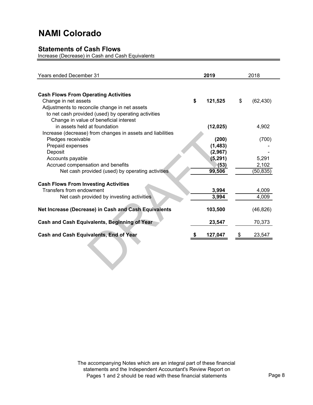### **Statements of Cash Flows**

Increase (Decrease) in Cash and Cash Equivalents

| <b>Years ended December 31</b>                             | 2019          | 2018            |
|------------------------------------------------------------|---------------|-----------------|
|                                                            |               |                 |
| <b>Cash Flows From Operating Activities</b>                |               |                 |
| Change in net assets                                       | \$<br>121,525 | \$<br>(62, 430) |
| Adjustments to reconcile change in net assets              |               |                 |
| to net cash provided (used) by operating activities        |               |                 |
| Change in value of beneficial interest                     |               |                 |
| in assets held at foundation                               | (12, 025)     | 4,902           |
| Increase (decrease) from changes in assets and liabilities |               |                 |
| Pledges receivable                                         | (200)         | (700)           |
| Prepaid expenses                                           | (1, 483)      |                 |
| Deposit                                                    | (2,967)       |                 |
| Accounts payable                                           | (5, 291)      | 5,291           |
| Accrued compensation and benefits                          | (53)          | 2,102           |
| Net cash provided (used) by operating activities           | 99,506        | (50, 835)       |
| <b>Cash Flows From Investing Activities</b>                |               |                 |
| Transfers from endowment                                   | 3,994         | 4,009           |
| Net cash provided by investing activities                  | 3,994         | 4,009           |
| Net Increase (Decrease) in Cash and Cash Equivalents       | 103,500       | (46, 826)       |
| Cash and Cash Equivalents, Beginning of Year               | 23,547        | 70,373          |
| <b>Cash and Cash Equivalents, End of Year</b>              | 127,047       | \$<br>23,547    |
|                                                            |               |                 |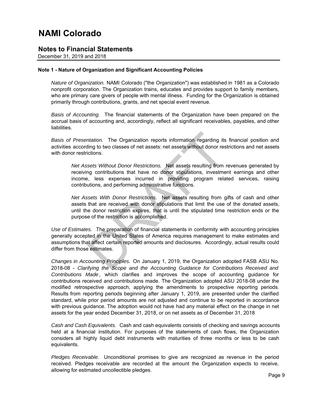### **Notes to Financial Statements**

December 31, 2019 and 2018

#### **Note 1 - Nature of Organization and Significant Accounting Policies**

*Nature of Organization.* NAMI Colorado ("the Organization") was established in 1981 as a Colorado nonprofit corporation. The Organization trains, educates and provides support to family members, who are primary care givers of people with mental illness. Funding for the Organization is obtained primarily through contributions, grants, and net special event revenue.

*Basis of Accounting.* The financial statements of the Organization have been prepared on the accrual basis of accounting and, accordingly, reflect all significant receivables, payables, and other liabilities.

*Basis of Presentation.* The Organization reports information regarding its financial position and activities according to two classes of net assets: net assets without donor restrictions and net assets with donor restrictions.

*Net Assets Without Donor Restrictions.* Net assets resulting from revenues generated by receiving contributions that have no donor stipulations, investment earnings and other income, less expenses incurred in providing program related services, raising contributions, and performing administrative functions.

ntation. The Organization reports information regarding its<br>ling to two classes of net assets: net assets without donor res<br>ictions.<br>sets Without Donor Restrictions. Net assets resulting from ing<br>contributions that have no *Net Assets With Donor Restrictions.* Net assets resulting from gifts of cash and other assets that are received with donor stipulations that limit the use of the donated assets, until the donor restriction expires, that is until the stipulated time restriction ends or the purpose of the restriction is accomplished.

*Use of Estimates.* The preparation of financial statements in conformity with accounting principles generally accepted in the United States of America requires management to make estimates and assumptions that affect certain reported amounts and disclosures. Accordingly, actual results could differ from those estimates.

*Changes in Accounting Principles.* On January 1, 2019, the Organization adopted FASB ASU No. 2018-08 - *Clarifying the Scope and the Accounting Guidance for Contributions Received and Contributions Made* , which clarifies and improves the scope of accounting guidance for contributions received and contributions made. The Organization adopted ASU 2018-08 under the modified retrospective approach, applying the amendments to prospective reporting periods. Results from reporting periods beginning after January 1, 2019, are presented under the clarified standard, while prior period amounts are not adjusted and continue to be reported in accordance with previous guidance. The adoption would not have had any material effect on the change in net assets for the year ended December 31, 2018, or on net assets as of December 31, 2018

*Cash and Cash Equivalents.* Cash and cash equivalents consists of checking and savings accounts held at a financial institution. For purposes of the statements of cash flows, the Organization considers all highly liquid debt instruments with maturities of three months or less to be cash equivalents.

*Pledges Receivable.* Unconditional promises to give are recognized as revenue in the period received. Pledges receivable are recorded at the amount the Organization expects to receive, allowing for estimated uncollectible pledges.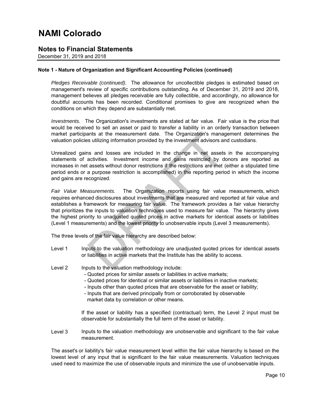### **Notes to Financial Statements**

December 31, 2019 and 2018

### **Note 1 - Nature of Organization and Significant Accounting Policies (continued)**

*Pledges Receivable (continued).* The allowance for uncollectible pledges is estimated based on management's review of specific contributions outstanding. As of December 31, 2019 and 2018, management believes all pledges receivable are fully collectible, and accordingly, no allowance for doubtful accounts has been recorded. Conditional promises to give are recognized when the conditions on which they depend are substantially met.

*Investments.* The Organization's investments are stated at fair value. Fair value is the price that would be received to sell an asset or paid to transfer a liability in an orderly transaction between market participants at the measurement date. The Organization's management determines the valuation policies utilizing information provided by the investment advisors and custodians.

Unrealized gains and losses are included in the change in net assets in the accompanying statements of activities. Investment income and gains restricted by donors are reported as increases in net assets without donor restrictions if the restrictions are met (either a stipulated time period ends or a purpose restriction is accomplished) in the reporting period in which the income and gains are recognized.

ants at the measurement date. The Organization's manages utilizing information provided by the investment advisors an as and losses are included in the change in net assets activities. Investment income and gains restricte *Fair Value Measurements.* The Organization reports using fair value measurements, which requires enhanced disclosures about investments that are measured and reported at fair value and establishes a framework for measuring fair value. The framework provides a fair value hierarchy that prioritizes the inputs to valuation techniques used to measure fair value. The hierarchy gives the highest priority to unadjusted quoted prices in active markets for identical assets or liabilities (Level 1 measurements) and the lowest priority to unobservable inputs (Level 3 measurements).

The three levels of the fair value hierarchy are described below:

- Level 1 Inputs to the valuation methodology are unadjusted quoted prices for identical assets or liabilities in active markets that the Institute has the ability to access.
- Level 2 Inputs to the valuation methodology include:
	- Quoted prices for similar assets or liabilities in active markets;
	- Quoted prices for identical or similar assets or liabilities in inactive markets;
	- Inputs other than quoted prices that are observable for the asset or liability;
	- market data by correlation or other means. - Inputs that are derived principally from or corroborated by observable

If the asset or liability has a specified (contractual) term, the Level 2 input must be observable for substantially the full term of the asset or liability.

Level 3 Inputs to the valuation methodology are unobservable and significant to the fair value measurement.

The asset's or liability's fair value measurement level within the fair value hierarchy is based on the lowest level of any input that is significant to the fair value measurements. Valuation techniques used need to maximize the use of observable inputs and minimize the use of unobservable inputs.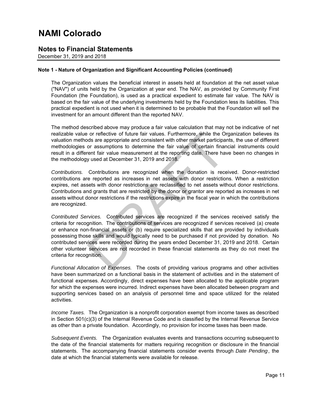### **Notes to Financial Statements**

December 31, 2019 and 2018

### **Note 1 - Nature of Organization and Significant Accounting Policies (continued)**

The Organization values the beneficial interest in assets held at foundation at the net asset value ("NAV") of units held by the Organization at year end. The NAV, as provided by Community First Foundation (the Foundation), is used as a practical expedient to estimate fair value. The NAV is based on the fair value of the underlying investments held by the Foundation less its liabilities. This practical expedient is not used when it is determined to be probable that the Foundation will sell the investment for an amount different than the reported NAV.

The method described above may produce a fair value calculation that may not be indicative of net realizable value or reflective of future fair values. Furthermore, while the Organization believes its valuation methods are appropriate and consistent with other market participants, the use of different methodologies or assumptions to determine the fair value of certain financial instruments could result in a different fair value measurement at the reporting date. There have been no changes in the methodology used at December 31, 2019 and 2018.

*Contributions.* Contributions are recognized when the donation is received. Donor-restricted contributions are reported as increases in net assets with donor restrictions. When a restriction expires, net assets with donor restrictions are reclassified to net assets without donor restrictions. Contributions and grants that are restricted by the donor or grantor are reported as increases in net assets without donor restrictions if the restrictions expire in the fiscal year in which the contributions are recognized.

or reflective of future fair values. Furthermore, while the Ords are appropriate and consistent with other market participa<br>or assumptions to determine the fair value of certain finar<br>ent fair value measurement at the repo *Contributed Services.* Contributed services are recognized if the services received satisfy the criteria for recognition. The contributions of services are recognized if services received (a) create or enhance non-financial assets or (b) require specialized skills that are provided by individuals possessing those skills and would typically need to be purchased if not provided by donation. No contributed services were recorded during the years ended December 31, 2019 and 2018. Certain other volunteer services are not recorded in these financial statements as they do not meet the criteria for recognition.

*Functional Allocation of Expenses.* The costs of providing various programs and other activities have been summarized on a functional basis in the statement of activities and in the statement of functional expenses. Accordingly, direct expenses have been allocated to the applicable program for which the expenses were incurred. Indirect expenses have been allocated between program and supporting services based on an analysis of personnel time and space utilized for the related activities.

*Income Taxes.* The Organization is a nonprofit corporation exempt from income taxes as described in Section 501(c)(3) of the Internal Revenue Code and is classified by the Internal Revenue Service as other than a private foundation. Accordingly, no provision for income taxes has been made.

*Subsequent Events.* The Organization evaluates events and transactions occurring subsequent to the date of the financial statements for matters requiring recognition or disclosure in the financial statements. The accompanying financial statements consider events through *Date Pending*, the date at which the financial statements were available for release.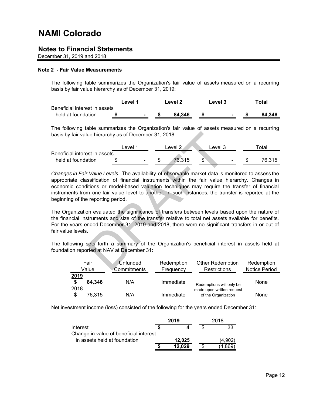### **Notes to Financial Statements**

December 31, 2019 and 2018

#### **Note 2 - Fair Value Measurements**

The following table summarizes the Organization's fair value of assets measured on a recurring basis by fair value hierarchy as of December 31, 2019:

|                               | ∟evel | Level 2 |        | Level 3 | Total |        |  |
|-------------------------------|-------|---------|--------|---------|-------|--------|--|
| Beneficial interest in assets |       |         |        |         |       |        |  |
| held at foundation            | ۰     |         | 84.346 |         |       | 84.346 |  |

The following table summarizes the Organization's fair value of assets measured on a recurring basis by fair value hierarchy as of December 31, 2018:

|                               | _evel 1                  | evel 2 |     | ⊥evel :        | <sup>∽</sup> ota⊩ |
|-------------------------------|--------------------------|--------|-----|----------------|-------------------|
| Beneficial interest in assets |                          |        |     |                |                   |
| held at foundation            | $\overline{\phantom{0}}$ | 76.215 | ъĐ. | $\blacksquare$ | 76.315            |

Level 1<br>
Level 1<br>
Set in assets<br>
Set in assets<br>
Set in assets<br>
Set in assets<br>
Set in assets<br>
Set in assets<br>
Called Levels. The availability of observable market data is resification of financial instruments within the fair *Changes in Fair Value Levels.* The availability of observable market data is monitored to assess the appropriate classification of financial instruments within the fair value hierarchy. Changes in economic conditions or model-based valuation techniques may require the transfer of financial instruments from one fair value level to another. In such instances, the transfer is reported at the beginning of the reporting period.

The Organization evaluated the significance of transfers between levels based upon the nature of the financial instruments and size of the transfer relative to total net assets available for benefits. For the years ended December 31, 2019 and 2018, there were no significant transfers in or out of fair value levels.

The following sets forth a summary of the Organization's beneficial interest in assets held at foundation reported at NAV at December 31:

|                    | Fair   | Unfunded    | Redemption | <b>Other Redemption</b>                               | Redemption           |
|--------------------|--------|-------------|------------|-------------------------------------------------------|----------------------|
|                    | Value  | Commitments | Frequency  | Restrictions                                          | <b>Notice Period</b> |
| 2019<br>\$<br>2018 | 84.346 | N/A         | Immediate  | Redemptions will only be<br>made upon written request | None                 |
| \$                 | 76.315 | N/A         | Immediate  | of the Organization                                   | None                 |

Net investment income (loss) consisted of the following for the years ended December 31:

|                                        | 2019   | 2018 |         |  |
|----------------------------------------|--------|------|---------|--|
| Interest                               |        |      | 33      |  |
| Change in value of beneficial interest |        |      |         |  |
| in assets held at foundation           | 12.025 |      | (4.902) |  |
|                                        | 12.029 |      | 4.869)  |  |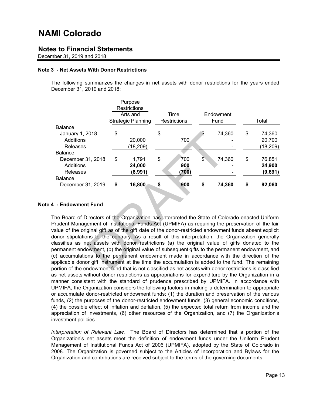### **Notes to Financial Statements**

December 31, 2019 and 2018

#### **Note 3 - Net Assets With Donor Restrictions**

The following summarizes the changes in net assets with donor restrictions for the years ended December 31, 2019 and 2018:

|                                                                                                         |    | Purpose                   |                     |                  |                          |        |       |           |  |  |
|---------------------------------------------------------------------------------------------------------|----|---------------------------|---------------------|------------------|--------------------------|--------|-------|-----------|--|--|
|                                                                                                         |    | <b>Restrictions</b>       |                     |                  |                          |        |       |           |  |  |
|                                                                                                         |    |                           |                     | Arts and<br>Time |                          |        |       | Endowment |  |  |
|                                                                                                         |    | <b>Strategic Planning</b> | <b>Restrictions</b> |                  |                          | Fund   | Total |           |  |  |
| Balance,                                                                                                |    |                           |                     |                  |                          |        |       |           |  |  |
| January 1, 2018                                                                                         | \$ |                           | \$                  |                  | \$                       | 74,360 | \$    | 74,360    |  |  |
| Additions                                                                                               |    | 20,000                    |                     | 700              |                          |        |       | 20,700    |  |  |
| <b>Releases</b>                                                                                         |    | (18, 209)                 |                     |                  |                          |        |       | (18, 209) |  |  |
| Balance,                                                                                                |    |                           |                     |                  |                          |        |       |           |  |  |
| December 31, 2018                                                                                       | \$ | 1,791                     | \$                  | 700              | $\overline{\mathcal{S}}$ | 74,360 | \$    | 76,851    |  |  |
| Additions                                                                                               |    | 24,000                    |                     | 900              |                          |        |       | 24,900    |  |  |
| <b>Releases</b>                                                                                         |    | (8,991)                   |                     | (700)            |                          |        |       | (9,691)   |  |  |
| Balance,                                                                                                |    |                           |                     |                  |                          |        |       |           |  |  |
| December 31, 2019                                                                                       | \$ | 16,800                    | S                   | 900              | S                        | 74,360 | \$    | 92,060    |  |  |
|                                                                                                         |    |                           |                     |                  |                          |        |       |           |  |  |
|                                                                                                         |    |                           |                     |                  |                          |        |       |           |  |  |
| - Endowment Fund                                                                                        |    |                           |                     |                  |                          |        |       |           |  |  |
|                                                                                                         |    |                           |                     |                  |                          |        |       |           |  |  |
| The Board of Directors of the Organization has interpreted the State of Colorado enacted Uniform        |    |                           |                     |                  |                          |        |       |           |  |  |
| Prudent Management of Institutional Funds Act (UPMIFA) as requiring the preservation of the fair        |    |                           |                     |                  |                          |        |       |           |  |  |
| alue of the original gift as of the gift date of the donor-restricted endowment funds absent explicit   |    |                           |                     |                  |                          |        |       |           |  |  |
| lonor stipulations to the contrary. As a result of this interpretation, the Organization generally      |    |                           |                     |                  |                          |        |       |           |  |  |
| lassifies as net assets with donor restrictions (a) the original value of gifts donated to the          |    |                           |                     |                  |                          |        |       |           |  |  |
| ermanent endowment, (b) the original value of subsequent gifts to the permanent endowment, and          |    |                           |                     |                  |                          |        |       |           |  |  |
| c) accumulations to the permanent endowment made in accordance with the direction of the                |    |                           |                     |                  |                          |        |       |           |  |  |
| pplicable donor gift instrument at the time the accumulation is added to the fund. The remaining        |    |                           |                     |                  |                          |        |       |           |  |  |
| ortion of the endowment fund that is not classified as net assets with donor restrictions is classified |    |                           |                     |                  |                          |        |       |           |  |  |

#### **Note 4 - Endowment Fund**

The Board of Directors of the Organization has interpreted the State of Colorado enacted Uniform Prudent Management of Institutional Funds Act (UPMIFA) as requiring the preservation of the fair value of the original gift as of the gift date of the donor-restricted endowment funds absent explicit donor stipulations to the contrary. As a result of this interpretation, the Organization generally classifies as net assets with donor restrictions (a) the original value of gifts donated to the permanent endowment, (b) the original value of subsequent gifts to the permanent endowment, and (c) accumulations to the permanent endowment made in accordance with the direction of the applicable donor gift instrument at the time the accumulation is added to the fund. The remaining portion of the endowment fund that is not classified as net assets with donor restrictions is classified as net assets without donor restrictions as appropriations for expenditure by the Organization in a manner consistent with the standard of prudence prescribed by UPMIFA. In accordance with UPMIFA, the Organization considers the following factors in making a determination to appropriate or accumulate donor-restricted endowment funds: (1) the duration and preservation of the various funds, (2) the purposes of the donor-restricted endowment funds, (3) general economic conditions, (4) the possible effect of inflation and deflation, (5) the expected total return from income and the appreciation of investments, (6) other resources of the Organization, and (7) the Organization's investment policies.

*Interpretation of Relevant Law.* The Board of Directors has determined that a portion of the Organization's net assets meet the definition of endowment funds under the Uniform Prudent Management of Institutional Funds Act of 2006 (UPMIFA), adopted by the State of Colorado in 2008. The Organization is governed subject to the Articles of Incorporation and Bylaws for the Organization and contributions are received subject to the terms of the governing documents.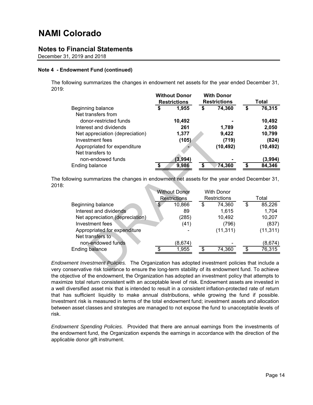### **Notes to Financial Statements**

December 31, 2019 and 2018

#### **Note 4 - Endowment Fund (continued)**

The following summarizes the changes in endowment net assets for the year ended December 31, 2019:

|                                 | <b>WILHOUL DONOI</b><br><b>Restrictions</b> |         | <u>WILII DONOF</u><br><b>Restrictions</b> |           | Total |           |
|---------------------------------|---------------------------------------------|---------|-------------------------------------------|-----------|-------|-----------|
| Beginning balance               | \$                                          | 1,955   |                                           | 74,360    |       |           |
| Net transfers from              |                                             |         |                                           |           |       |           |
| donor-restricted funds          |                                             | 10,492  |                                           |           |       | 10,492    |
| Interest and dividends          |                                             | 261     |                                           | 1,789     |       | 2,050     |
| Net appreciation (depreciation) |                                             | 1,377   |                                           | 9,422     |       | 10,799    |
| Investment fees                 |                                             | (105)   |                                           | (719)     |       | (824)     |
| Appropriated for expenditure    |                                             |         |                                           | (10, 492) |       | (10, 492) |
| Net transfers to                |                                             |         |                                           |           |       |           |
| non-endowed funds               |                                             | (3,994) |                                           |           |       | (3,994)   |
| Ending balance                  | \$                                          | 9,986   | ¢                                         | 74,360    |       | 84,346    |
|                                 |                                             |         |                                           |           |       |           |

**Without Donor With Donor**

The following summarizes the changes in endowment net assets for the year ended December 31, 2018:

| Net appreciation (depreciation)<br>Investment fees                                            | 1,377<br>(105)       | 9,422<br>(719)      |    | 10,799<br>(824) |
|-----------------------------------------------------------------------------------------------|----------------------|---------------------|----|-----------------|
| Appropriated for expenditure                                                                  |                      | (10, 492)           |    | (10, 492)       |
| Net transfers to<br>non-endowed funds                                                         | (3,994)              |                     |    | (3,994)         |
| Ending balance                                                                                | \$<br>9,986          | \$<br>74,360        | S  | 84,346          |
|                                                                                               |                      |                     |    |                 |
|                                                                                               |                      |                     |    |                 |
| owing summarizes the changes in endowment net assets for the year ended December 31,          |                      |                     |    |                 |
|                                                                                               |                      |                     |    |                 |
|                                                                                               | <b>Without Donor</b> | <b>With Donor</b>   |    |                 |
|                                                                                               | <b>Restrictions</b>  | <b>Restrictions</b> |    | Total           |
| Beginning balance                                                                             | \$<br>10,866         | \$<br>74,360        | \$ | 85,226          |
| Interest and dividends                                                                        | 89                   | 1,615               |    | 1,704           |
| Net appreciation (depreciation)                                                               | (285)                | 10,492              |    | 10,207          |
| Investment fees                                                                               | (41)                 | (796)               |    | (837)           |
| Appropriated for expenditure                                                                  |                      | (11, 311)           |    | (11, 311)       |
| Net transfers to                                                                              |                      |                     |    |                 |
| non-endowed funds                                                                             | (8,674)              |                     |    | (8,674)         |
| <b>Ending balance</b>                                                                         | 1,955                | 74,360              |    | 76,315          |
|                                                                                               |                      |                     |    |                 |
| ment Investment Policies. The Organization has adopted investment policies that include a     |                      |                     |    |                 |
| nservative risk tolerance to ensure the long-term stability of its endowment fund. To achieve |                      |                     |    |                 |

*Endowment Investment Policies.* The Organization has adopted investment policies that include a very conservative risk tolerance to ensure the long-term stability of its endowment fund. To achieve the objective of the endowment, the Organization has adopted an investment policy that attempts to maximize total return consistent with an acceptable level of risk. Endowment assets are invested in a well diversified asset mix that is intended to result in a consistent inflation-protected rate of return that has sufficient liquidity to make annual distributions, while growing the fund if possible. Investment risk is measured in terms of the total endowment fund; investment assets and allocation between asset classes and strategies are managed to not expose the fund to unacceptable levels of risk.

*Endowment Spending Policies.* Provided that there are annual earnings from the investments of the endowment fund, the Organization expends the earnings in accordance with the direction of the applicable donor gift instrument.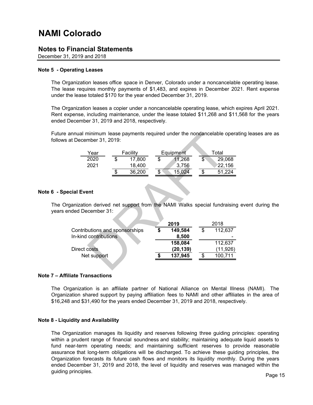### **Notes to Financial Statements**

December 31, 2019 and 2018

#### **Note 5 - Operating Leases**

The Organization leases office space in Denver, Colorado under a noncancelable operating lease. The lease requires monthly payments of \$1,483, and expires in December 2021. Rent expense under the lease totaled \$170 for the year ended December 31, 2019.

The Organization leases a copier under a noncancelable operating lease, which expires April 2021. Rent expense, including maintenance, under the lease totaled \$11,268 and \$11,568 for the years ended December 31, 2019 and 2018, respectively.

Future annual minimum lease payments required under the noncancelable operating leases are as follows at December 31, 2019:

| Year |    | Facility |    | Equipment | Total            |
|------|----|----------|----|-----------|------------------|
| 2020 | ง  | 17,800   | Œ  | 11.268    | \$<br>29,068     |
| 2021 |    | 18,400   |    | 3.756     | 22,156           |
|      | \$ | 36,200   | \$ | 5.024     | \$<br>.224<br>51 |

#### **Note 6 - Special Event**

The Organization derived net support from the NAMI Walks special fundraising event during the years ended December 31:

|                                                         | at December 31, 2019: |                                              |                  |                                        |                   | annual minimum lease payments required under the noncancelable opera   |
|---------------------------------------------------------|-----------------------|----------------------------------------------|------------------|----------------------------------------|-------------------|------------------------------------------------------------------------|
|                                                         | Year<br>2020<br>2021  | \$<br>Facility<br>17,800<br>18,400<br>36,200 | \$<br>\$         | Equipment<br>11,268<br>3,756<br>15,024 | $$^{\circ}$<br>\$ | Total<br>29,068<br>22,156<br>51,224                                    |
| cial Event                                              |                       |                                              |                  |                                        |                   | ganization derived net support from the NAMI Walks special fundraising |
|                                                         | nded December 31:     |                                              |                  | 2019                                   |                   | 2018                                                                   |
| Contributions and sponsorships<br>In-kind contributions |                       | \$                                           | 149,584<br>8,500 | \$                                     | 112,637           |                                                                        |
|                                                         | Direct costs          |                                              |                  | 158,084<br>(20, 139)                   |                   | 112,637<br>(11, 926)                                                   |
|                                                         | Net support           |                                              |                  | 137,945                                | \$                | 100,711                                                                |
|                                                         |                       |                                              |                  |                                        |                   |                                                                        |

#### **Note 7 – Affiliate Transactions**

The Organization is an affiliate partner of National Alliance on Mental Illness (NAMI). The Organization shared support by paying affiliation fees to NAMI and other affiliates in the area of \$16,248 and \$31,490 for the years ended December 31, 2019 and 2018, respectively.

#### **Note 8 - Liquidity and Availability**

The Organization manages its liquidity and reserves following three guiding principles: operating within a prudent range of financial soundness and stability; maintaining adequate liquid assets to fund near-term operating needs; and maintaining sufficient reserves to provide reasonable assurance that long-term obligations will be discharged. To achieve these guiding principles, the Organization forecasts its future cash flows and monitors its liquidity monthly. During the years ended December 31, 2019 and 2018, the level of liquidity and reserves was managed within the guiding principles.